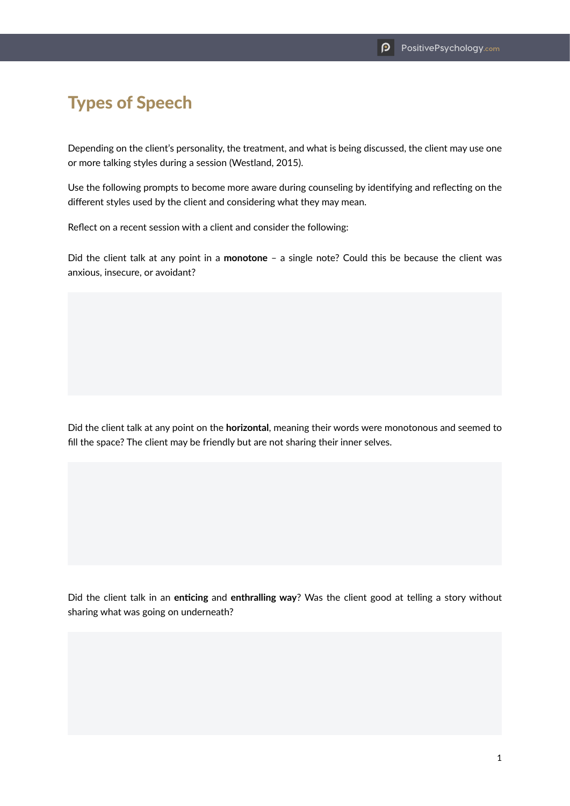## Types of Speech

Depending on the client's personality, the treatment, and what is being discussed, the client may use one or more talking styles during a session (Westland, 2015).

Use the following prompts to become more aware during counseling by identifying and reflecting on the different styles used by the client and considering what they may mean.

Reflect on a recent session with a client and consider the following:

Did the client talk at any point in a **monotone** – a single note? Could this be because the client was anxious, insecure, or avoidant?

Did the client talk at any point on the **horizontal**, meaning their words were monotonous and seemed to fill the space? The client may be friendly but are not sharing their inner selves.

Did the client talk in an **enticing** and **enthralling way**? Was the client good at telling a story without sharing what was going on underneath?